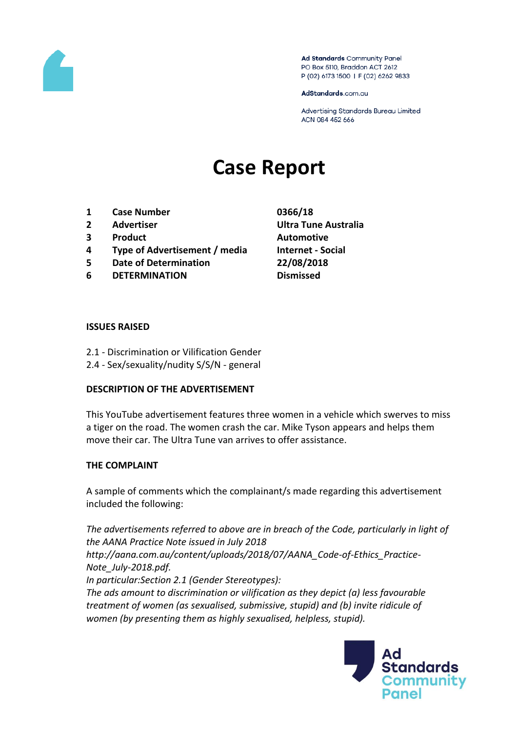

Ad Standards Community Panel PO Box 5110, Braddon ACT 2612 P (02) 6173 1500 | F (02) 6262 9833

AdStandards.com.au

Advertising Standards Bureau Limited ACN 084 452 666

# **Case Report**

- **1 Case Number 0366/18**
- 
- **3 Product Automotive**
- **4 Type of Advertisement / media Internet - Social**
- **5 Date of Determination 22/08/2018**
- **6 DETERMINATION Dismissed**
- **2 Advertiser Ultra Tune Australia**

#### **ISSUES RAISED**

- 2.1 Discrimination or Vilification Gender
- 2.4 Sex/sexuality/nudity S/S/N general

### **DESCRIPTION OF THE ADVERTISEMENT**

This YouTube advertisement features three women in a vehicle which swerves to miss a tiger on the road. The women crash the car. Mike Tyson appears and helps them move their car. The Ultra Tune van arrives to offer assistance.

### **THE COMPLAINT**

A sample of comments which the complainant/s made regarding this advertisement included the following:

*The advertisements referred to above are in breach of the Code, particularly in light of the AANA Practice Note issued in July 2018 http://aana.com.au/content/uploads/2018/07/AANA\_Code-of-Ethics\_Practice-Note\_July-2018.pdf. In particular:Section 2.1 (Gender Stereotypes): The ads amount to discrimination or vilification as they depict (a) less favourable treatment of women (as sexualised, submissive, stupid) and (b) invite ridicule of women (by presenting them as highly sexualised, helpless, stupid).*

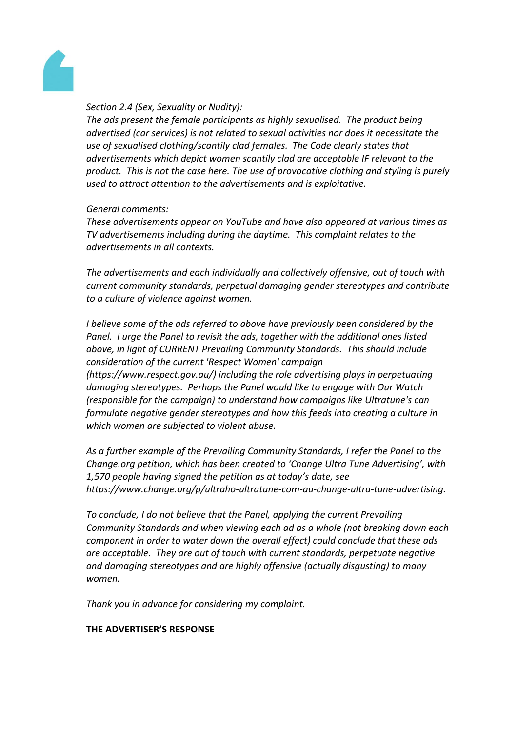

## *Section 2.4 (Sex, Sexuality or Nudity):*

*The ads present the female participants as highly sexualised. The product being advertised (car services) is not related to sexual activities nor does it necessitate the use of sexualised clothing/scantily clad females. The Code clearly states that advertisements which depict women scantily clad are acceptable IF relevant to the product. This is not the case here. The use of provocative clothing and styling is purely used to attract attention to the advertisements and is exploitative.*

## *General comments:*

*These advertisements appear on YouTube and have also appeared at various times as TV advertisements including during the daytime. This complaint relates to the advertisements in all contexts.*

*The advertisements and each individually and collectively offensive, out of touch with current community standards, perpetual damaging gender stereotypes and contribute to a culture of violence against women.*

*I* believe some of the ads referred to above have previously been considered by the *Panel. I urge the Panel to revisit the ads, together with the additional ones listed above, in light of CURRENT Prevailing Community Standards. This should include consideration of the current 'Respect Women' campaign (https://www.respect.gov.au/) including the role advertising plays in perpetuating damaging stereotypes. Perhaps the Panel would like to engage with Our Watch (responsible for the campaign) to understand how campaigns like Ultratune's can formulate negative gender stereotypes and how this feeds into creating a culture in which women are subjected to violent abuse.*

*As a further example of the Prevailing Community Standards, I refer the Panel to the Change.org petition, which has been created to 'Change Ultra Tune Advertising', with 1,570 people having signed the petition as at today's date, see https://www.change.org/p/ultraho-ultratune-com-au-change-ultra-tune-advertising.*

*To conclude, I do not believe that the Panel, applying the current Prevailing Community Standards and when viewing each ad as a whole (not breaking down each component in order to water down the overall effect) could conclude that these ads are acceptable. They are out of touch with current standards, perpetuate negative and damaging stereotypes and are highly offensive (actually disgusting) to many women.*

*Thank you in advance for considering my complaint.*

# **THE ADVERTISER'S RESPONSE**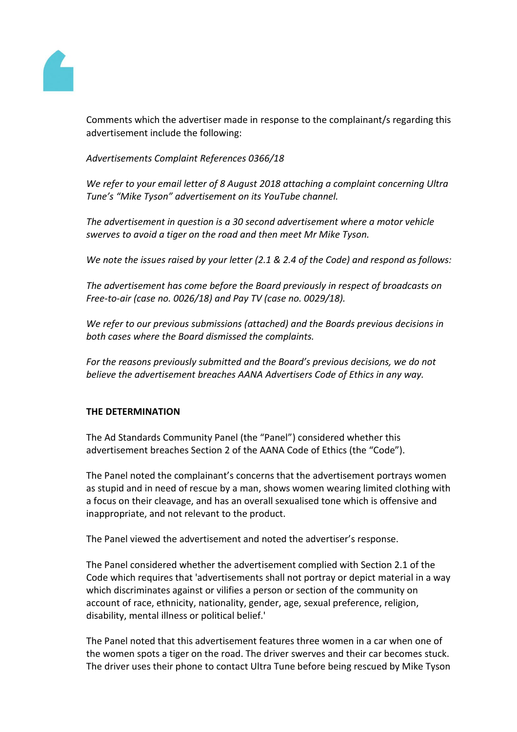

Comments which the advertiser made in response to the complainant/s regarding this advertisement include the following:

*Advertisements Complaint References 0366/18*

*We refer to your email letter of 8 August 2018 attaching a complaint concerning Ultra Tune's "Mike Tyson" advertisement on its YouTube channel.*

*The advertisement in question is a 30 second advertisement where a motor vehicle swerves to avoid a tiger on the road and then meet Mr Mike Tyson.*

*We note the issues raised by your letter (2.1 & 2.4 of the Code) and respond as follows:*

*The advertisement has come before the Board previously in respect of broadcasts on Free-to-air (case no. 0026/18) and Pay TV (case no. 0029/18).*

*We refer to our previous submissions (attached) and the Boards previous decisions in both cases where the Board dismissed the complaints.*

*For the reasons previously submitted and the Board's previous decisions, we do not believe the advertisement breaches AANA Advertisers Code of Ethics in any way.*

# **THE DETERMINATION**

The Ad Standards Community Panel (the "Panel") considered whether this advertisement breaches Section 2 of the AANA Code of Ethics (the "Code").

The Panel noted the complainant's concerns that the advertisement portrays women as stupid and in need of rescue by a man, shows women wearing limited clothing with a focus on their cleavage, and has an overall sexualised tone which is offensive and inappropriate, and not relevant to the product.

The Panel viewed the advertisement and noted the advertiser's response.

The Panel considered whether the advertisement complied with Section 2.1 of the Code which requires that 'advertisements shall not portray or depict material in a way which discriminates against or vilifies a person or section of the community on account of race, ethnicity, nationality, gender, age, sexual preference, religion, disability, mental illness or political belief.'

The Panel noted that this advertisement features three women in a car when one of the women spots a tiger on the road. The driver swerves and their car becomes stuck. The driver uses their phone to contact Ultra Tune before being rescued by Mike Tyson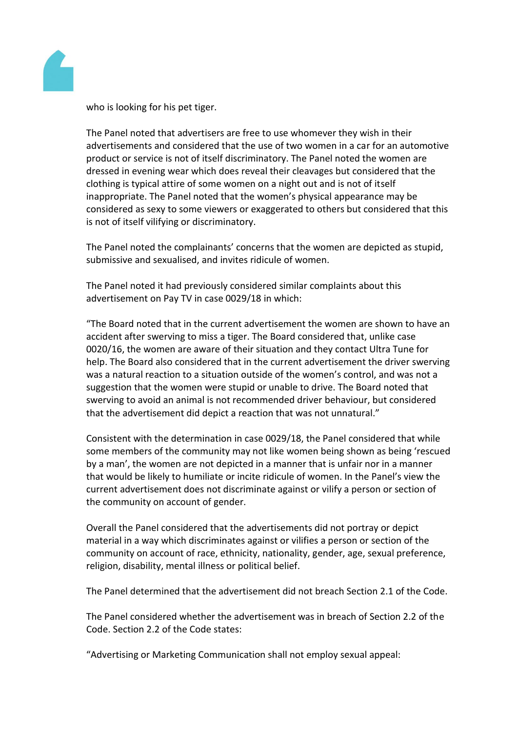

who is looking for his pet tiger.

The Panel noted that advertisers are free to use whomever they wish in their advertisements and considered that the use of two women in a car for an automotive product or service is not of itself discriminatory. The Panel noted the women are dressed in evening wear which does reveal their cleavages but considered that the clothing is typical attire of some women on a night out and is not of itself inappropriate. The Panel noted that the women's physical appearance may be considered as sexy to some viewers or exaggerated to others but considered that this is not of itself vilifying or discriminatory.

The Panel noted the complainants' concerns that the women are depicted as stupid, submissive and sexualised, and invites ridicule of women.

The Panel noted it had previously considered similar complaints about this advertisement on Pay TV in case 0029/18 in which:

"The Board noted that in the current advertisement the women are shown to have an accident after swerving to miss a tiger. The Board considered that, unlike case 0020/16, the women are aware of their situation and they contact Ultra Tune for help. The Board also considered that in the current advertisement the driver swerving was a natural reaction to a situation outside of the women's control, and was not a suggestion that the women were stupid or unable to drive. The Board noted that swerving to avoid an animal is not recommended driver behaviour, but considered that the advertisement did depict a reaction that was not unnatural."

Consistent with the determination in case 0029/18, the Panel considered that while some members of the community may not like women being shown as being 'rescued by a man', the women are not depicted in a manner that is unfair nor in a manner that would be likely to humiliate or incite ridicule of women. In the Panel's view the current advertisement does not discriminate against or vilify a person or section of the community on account of gender.

Overall the Panel considered that the advertisements did not portray or depict material in a way which discriminates against or vilifies a person or section of the community on account of race, ethnicity, nationality, gender, age, sexual preference, religion, disability, mental illness or political belief.

The Panel determined that the advertisement did not breach Section 2.1 of the Code.

The Panel considered whether the advertisement was in breach of Section 2.2 of the Code. Section 2.2 of the Code states:

"Advertising or Marketing Communication shall not employ sexual appeal: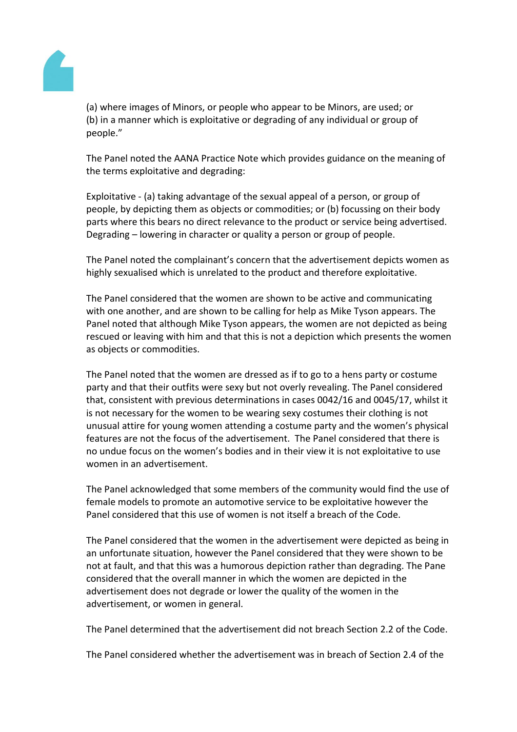

(a) where images of Minors, or people who appear to be Minors, are used; or (b) in a manner which is exploitative or degrading of any individual or group of people."

The Panel noted the AANA Practice Note which provides guidance on the meaning of the terms exploitative and degrading:

Exploitative - (a) taking advantage of the sexual appeal of a person, or group of people, by depicting them as objects or commodities; or (b) focussing on their body parts where this bears no direct relevance to the product or service being advertised. Degrading – lowering in character or quality a person or group of people.

The Panel noted the complainant's concern that the advertisement depicts women as highly sexualised which is unrelated to the product and therefore exploitative.

The Panel considered that the women are shown to be active and communicating with one another, and are shown to be calling for help as Mike Tyson appears. The Panel noted that although Mike Tyson appears, the women are not depicted as being rescued or leaving with him and that this is not a depiction which presents the women as objects or commodities.

The Panel noted that the women are dressed as if to go to a hens party or costume party and that their outfits were sexy but not overly revealing. The Panel considered that, consistent with previous determinations in cases 0042/16 and 0045/17, whilst it is not necessary for the women to be wearing sexy costumes their clothing is not unusual attire for young women attending a costume party and the women's physical features are not the focus of the advertisement. The Panel considered that there is no undue focus on the women's bodies and in their view it is not exploitative to use women in an advertisement.

The Panel acknowledged that some members of the community would find the use of female models to promote an automotive service to be exploitative however the Panel considered that this use of women is not itself a breach of the Code.

The Panel considered that the women in the advertisement were depicted as being in an unfortunate situation, however the Panel considered that they were shown to be not at fault, and that this was a humorous depiction rather than degrading. The Pane considered that the overall manner in which the women are depicted in the advertisement does not degrade or lower the quality of the women in the advertisement, or women in general.

The Panel determined that the advertisement did not breach Section 2.2 of the Code.

The Panel considered whether the advertisement was in breach of Section 2.4 of the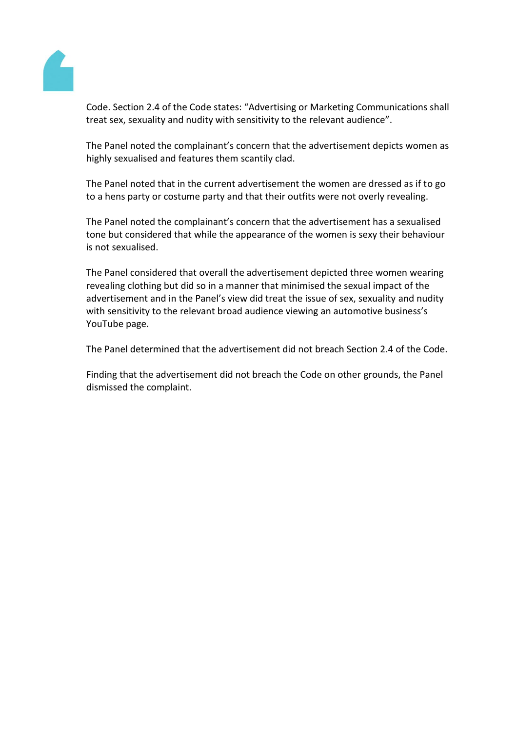

Code. Section 2.4 of the Code states: "Advertising or Marketing Communications shall treat sex, sexuality and nudity with sensitivity to the relevant audience".

The Panel noted the complainant's concern that the advertisement depicts women as highly sexualised and features them scantily clad.

The Panel noted that in the current advertisement the women are dressed as if to go to a hens party or costume party and that their outfits were not overly revealing.

The Panel noted the complainant's concern that the advertisement has a sexualised tone but considered that while the appearance of the women is sexy their behaviour is not sexualised.

The Panel considered that overall the advertisement depicted three women wearing revealing clothing but did so in a manner that minimised the sexual impact of the advertisement and in the Panel's view did treat the issue of sex, sexuality and nudity with sensitivity to the relevant broad audience viewing an automotive business's YouTube page.

The Panel determined that the advertisement did not breach Section 2.4 of the Code.

Finding that the advertisement did not breach the Code on other grounds, the Panel dismissed the complaint.